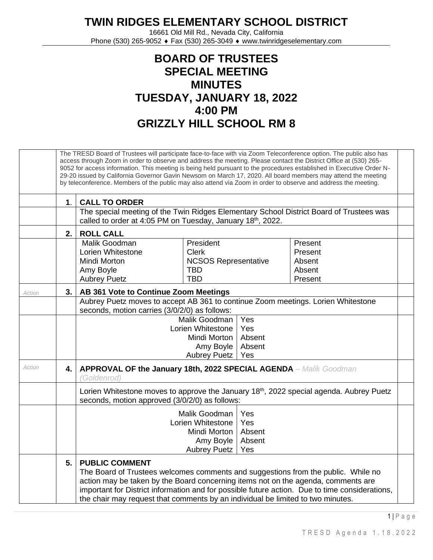## **TWIN RIDGES ELEMENTARY SCHOOL DISTRICT**

16661 Old Mill Rd., Nevada City, California Phone (530) 265-9052 ♦ Fax (530) 265-3049 ♦ www.twinridgeselementary.com

## **BOARD OF TRUSTEES SPECIAL MEETING MINUTES TUESDAY, JANUARY 18, 2022 4:00 PM GRIZZLY HILL SCHOOL RM 8**

|        |                | The TRESD Board of Trustees will participate face-to-face with via Zoom Teleconference option. The public also has<br>access through Zoom in order to observe and address the meeting. Please contact the District Office at (530) 265-<br>9052 for access information. This meeting is being held pursuant to the procedures established in Executive Order N-<br>29-20 issued by California Governor Gavin Newsom on March 17, 2020. All board members may attend the meeting<br>by teleconference. Members of the public may also attend via Zoom in order to observe and address the meeting. |                                                                                        |                                       |                                                   |  |  |  |  |  |  |  |
|--------|----------------|---------------------------------------------------------------------------------------------------------------------------------------------------------------------------------------------------------------------------------------------------------------------------------------------------------------------------------------------------------------------------------------------------------------------------------------------------------------------------------------------------------------------------------------------------------------------------------------------------|----------------------------------------------------------------------------------------|---------------------------------------|---------------------------------------------------|--|--|--|--|--|--|--|
|        | 1 <sub>1</sub> | <b>CALL TO ORDER</b><br>The special meeting of the Twin Ridges Elementary School District Board of Trustees was<br>called to order at 4:05 PM on Tuesday, January 18 <sup>th</sup> , 2022.                                                                                                                                                                                                                                                                                                                                                                                                        |                                                                                        |                                       |                                                   |  |  |  |  |  |  |  |
|        |                |                                                                                                                                                                                                                                                                                                                                                                                                                                                                                                                                                                                                   |                                                                                        |                                       |                                                   |  |  |  |  |  |  |  |
|        | 2.1            | <b>ROLL CALL</b>                                                                                                                                                                                                                                                                                                                                                                                                                                                                                                                                                                                  |                                                                                        |                                       |                                                   |  |  |  |  |  |  |  |
|        |                | Malik Goodman<br>Lorien Whitestone<br>Mindi Morton<br>Amy Boyle<br><b>Aubrey Puetz</b>                                                                                                                                                                                                                                                                                                                                                                                                                                                                                                            | President<br><b>Clerk</b><br><b>NCSOS Representative</b><br>TBD<br><b>TBD</b>          |                                       | Present<br>Present<br>Absent<br>Absent<br>Present |  |  |  |  |  |  |  |
| Action | 3.             | AB 361 Vote to Continue Zoom Meetings                                                                                                                                                                                                                                                                                                                                                                                                                                                                                                                                                             |                                                                                        |                                       |                                                   |  |  |  |  |  |  |  |
|        |                | Aubrey Puetz moves to accept AB 361 to continue Zoom meetings. Lorien Whitestone<br>seconds, motion carries (3/0/2/0) as follows:<br>Yes<br>Malik Goodman                                                                                                                                                                                                                                                                                                                                                                                                                                         |                                                                                        |                                       |                                                   |  |  |  |  |  |  |  |
|        |                |                                                                                                                                                                                                                                                                                                                                                                                                                                                                                                                                                                                                   | Lorien Whitestone<br>Mindi Morton<br>Amy Boyle<br>Aubrey Puetz                         | Yes<br>Absent<br>Absent<br>Yes        |                                                   |  |  |  |  |  |  |  |
| Action | 4.             | APPROVAL OF the January 18th, 2022 SPECIAL AGENDA - Malik Goodman<br>(Goldenrod)<br>Lorien Whitestone moves to approve the January 18th, 2022 special agenda. Aubrey Puetz<br>seconds, motion approved (3/0/2/0) as follows:                                                                                                                                                                                                                                                                                                                                                                      |                                                                                        |                                       |                                                   |  |  |  |  |  |  |  |
|        |                |                                                                                                                                                                                                                                                                                                                                                                                                                                                                                                                                                                                                   |                                                                                        |                                       |                                                   |  |  |  |  |  |  |  |
|        |                |                                                                                                                                                                                                                                                                                                                                                                                                                                                                                                                                                                                                   | Malik Goodman<br>Lorien Whitestone<br>Mindi Morton<br>Amy Boyle<br><b>Aubrey Puetz</b> | Yes<br>Yes<br>Absent<br>Absent<br>Yes |                                                   |  |  |  |  |  |  |  |
|        | 5.             | <b>PUBLIC COMMENT</b><br>The Board of Trustees welcomes comments and suggestions from the public. While no<br>action may be taken by the Board concerning items not on the agenda, comments are<br>important for District information and for possible future action. Due to time considerations,<br>the chair may request that comments by an individual be limited to two minutes.                                                                                                                                                                                                              |                                                                                        |                                       |                                                   |  |  |  |  |  |  |  |

1 | P a g e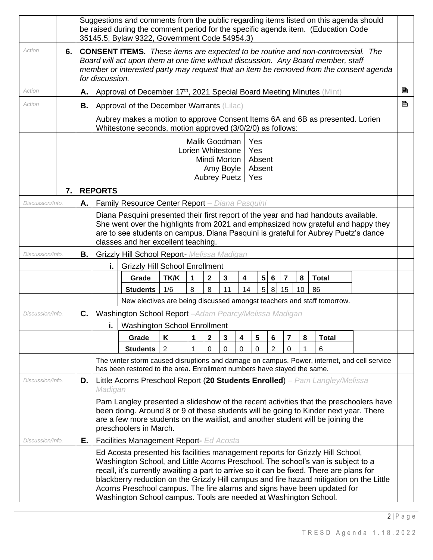|                                                                                                                                                                                                                                                                                                       |                                                                                                                  |    | Suggestions and comments from the public regarding items listed on this agenda should<br>be raised during the comment period for the specific agenda item. (Education Code<br>35145.5; Bylaw 9322, Government Code 54954.3)                                                                                                                                                                                                                                                                                |                                                                                                                                            |                |   |   |    |    |                |      |                |    |              |  |  |   |
|-------------------------------------------------------------------------------------------------------------------------------------------------------------------------------------------------------------------------------------------------------------------------------------------------------|------------------------------------------------------------------------------------------------------------------|----|------------------------------------------------------------------------------------------------------------------------------------------------------------------------------------------------------------------------------------------------------------------------------------------------------------------------------------------------------------------------------------------------------------------------------------------------------------------------------------------------------------|--------------------------------------------------------------------------------------------------------------------------------------------|----------------|---|---|----|----|----------------|------|----------------|----|--------------|--|--|---|
| Action                                                                                                                                                                                                                                                                                                | 6.                                                                                                               |    | <b>CONSENT ITEMS.</b> These items are expected to be routine and non-controversial. The<br>Board will act upon them at one time without discussion. Any Board member, staff<br>member or interested party may request that an item be removed from the consent agenda<br>for discussion.                                                                                                                                                                                                                   |                                                                                                                                            |                |   |   |    |    |                |      |                |    |              |  |  |   |
| Action                                                                                                                                                                                                                                                                                                |                                                                                                                  | Α. |                                                                                                                                                                                                                                                                                                                                                                                                                                                                                                            | Approval of December 17th, 2021 Special Board Meeting Minutes (Mint)                                                                       |                |   |   |    |    |                |      |                |    | B            |  |  |   |
| Action                                                                                                                                                                                                                                                                                                |                                                                                                                  | В. |                                                                                                                                                                                                                                                                                                                                                                                                                                                                                                            | Approval of the December Warrants (Lilac)                                                                                                  |                |   |   |    |    |                |      |                |    |              |  |  | B |
|                                                                                                                                                                                                                                                                                                       |                                                                                                                  |    |                                                                                                                                                                                                                                                                                                                                                                                                                                                                                                            | Aubrey makes a motion to approve Consent Items 6A and 6B as presented. Lorien<br>Whitestone seconds, motion approved (3/0/2/0) as follows: |                |   |   |    |    |                |      |                |    |              |  |  |   |
|                                                                                                                                                                                                                                                                                                       |                                                                                                                  |    | Malik Goodman<br>Yes<br>Lorien Whitestone<br>Yes<br>Mindi Morton<br>Absent<br>Amy Boyle<br>Absent<br><b>Aubrey Puetz</b><br>Yes                                                                                                                                                                                                                                                                                                                                                                            |                                                                                                                                            |                |   |   |    |    |                |      |                |    |              |  |  |   |
|                                                                                                                                                                                                                                                                                                       | 7.                                                                                                               |    | <b>REPORTS</b>                                                                                                                                                                                                                                                                                                                                                                                                                                                                                             |                                                                                                                                            |                |   |   |    |    |                |      |                |    |              |  |  |   |
| Discussion/Info.                                                                                                                                                                                                                                                                                      |                                                                                                                  | Α. |                                                                                                                                                                                                                                                                                                                                                                                                                                                                                                            | Family Resource Center Report - Diana Pasquini                                                                                             |                |   |   |    |    |                |      |                |    |              |  |  |   |
| Diana Pasquini presented their first report of the year and had handouts available.<br>She went over the highlights from 2021 and emphasized how grateful and happy they<br>are to see students on campus. Diana Pasquini is grateful for Aubrey Puetz's dance<br>classes and her excellent teaching. |                                                                                                                  |    |                                                                                                                                                                                                                                                                                                                                                                                                                                                                                                            |                                                                                                                                            |                |   |   |    |    |                |      |                |    |              |  |  |   |
| Discussion/Info.                                                                                                                                                                                                                                                                                      |                                                                                                                  | В. | Grizzly Hill School Report- Melissa Madigan                                                                                                                                                                                                                                                                                                                                                                                                                                                                |                                                                                                                                            |                |   |   |    |    |                |      |                |    |              |  |  |   |
|                                                                                                                                                                                                                                                                                                       |                                                                                                                  |    | i.                                                                                                                                                                                                                                                                                                                                                                                                                                                                                                         | <b>Grizzly Hill School Enrollment</b>                                                                                                      |                |   |   |    |    |                |      |                |    |              |  |  |   |
|                                                                                                                                                                                                                                                                                                       |                                                                                                                  |    |                                                                                                                                                                                                                                                                                                                                                                                                                                                                                                            | Grade                                                                                                                                      | TK/K           | 1 | 2 | 3  | 4  | 5              | 6    | $\overline{7}$ | 8  | <b>Total</b> |  |  |   |
|                                                                                                                                                                                                                                                                                                       |                                                                                                                  |    |                                                                                                                                                                                                                                                                                                                                                                                                                                                                                                            | <b>Students</b>                                                                                                                            | 1/6            | 8 | 8 | 11 | 14 | 5 <sup>1</sup> | 8 15 |                | 10 | 86           |  |  |   |
| Discussion/Info.                                                                                                                                                                                                                                                                                      |                                                                                                                  | C. | New electives are being discussed amongst teachers and staff tomorrow.<br>Washington School Report - Adam Pearcy/Melissa Madigan                                                                                                                                                                                                                                                                                                                                                                           |                                                                                                                                            |                |   |   |    |    |                |      |                |    |              |  |  |   |
|                                                                                                                                                                                                                                                                                                       |                                                                                                                  |    | <b>Washington School Enrollment</b><br>i.                                                                                                                                                                                                                                                                                                                                                                                                                                                                  |                                                                                                                                            |                |   |   |    |    |                |      |                |    |              |  |  |   |
|                                                                                                                                                                                                                                                                                                       |                                                                                                                  |    |                                                                                                                                                                                                                                                                                                                                                                                                                                                                                                            | Grade                                                                                                                                      | Κ              | 1 | 2 | 3  |    | 5              | 6    | 7              | 8  | <b>Total</b> |  |  |   |
|                                                                                                                                                                                                                                                                                                       |                                                                                                                  |    |                                                                                                                                                                                                                                                                                                                                                                                                                                                                                                            | <b>Students</b>                                                                                                                            | $\overline{2}$ |   | 0 | 0  | 0  | 0              | 2    | 0              |    | 6            |  |  |   |
|                                                                                                                                                                                                                                                                                                       |                                                                                                                  |    | The winter storm caused disruptions and damage on campus. Power, internet, and cell service<br>has been restored to the area. Enrollment numbers have stayed the same.                                                                                                                                                                                                                                                                                                                                     |                                                                                                                                            |                |   |   |    |    |                |      |                |    |              |  |  |   |
|                                                                                                                                                                                                                                                                                                       | Little Acorns Preschool Report (20 Students Enrolled) - Pam Langley/Melissa<br>Discussion/Info.<br>D.<br>Madigan |    |                                                                                                                                                                                                                                                                                                                                                                                                                                                                                                            |                                                                                                                                            |                |   |   |    |    |                |      |                |    |              |  |  |   |
|                                                                                                                                                                                                                                                                                                       |                                                                                                                  |    | Pam Langley presented a slideshow of the recent activities that the preschoolers have<br>been doing. Around 8 or 9 of these students will be going to Kinder next year. There<br>are a few more students on the waitlist, and another student will be joining the<br>preschoolers in March.                                                                                                                                                                                                                |                                                                                                                                            |                |   |   |    |    |                |      |                |    |              |  |  |   |
| Discussion/Info.                                                                                                                                                                                                                                                                                      |                                                                                                                  | Е. | Facilities Management Report- Ed Acosta                                                                                                                                                                                                                                                                                                                                                                                                                                                                    |                                                                                                                                            |                |   |   |    |    |                |      |                |    |              |  |  |   |
|                                                                                                                                                                                                                                                                                                       |                                                                                                                  |    | Ed Acosta presented his facilities management reports for Grizzly Hill School,<br>Washington School, and Little Acorns Preschool. The school's van is subject to a<br>recall, it's currently awaiting a part to arrive so it can be fixed. There are plans for<br>blackberry reduction on the Grizzly Hill campus and fire hazard mitigation on the Little<br>Acorns Preschool campus. The fire alarms and signs have been updated for<br>Washington School campus. Tools are needed at Washington School. |                                                                                                                                            |                |   |   |    |    |                |      |                |    |              |  |  |   |

2 | P a g e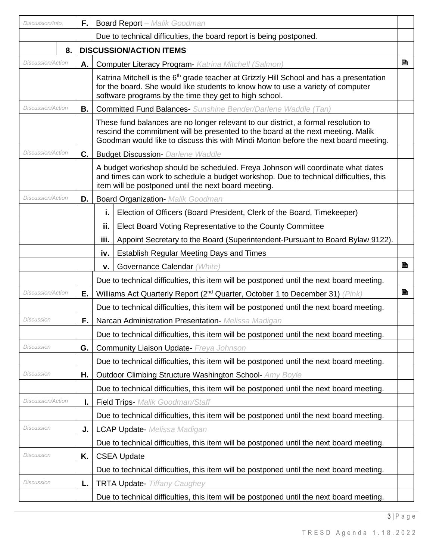| Discussion/Info.         | F. | <b>Board Report</b> - Malik Goodman                                                                                                                                                                                                                           |   |  |  |  |  |  |
|--------------------------|----|---------------------------------------------------------------------------------------------------------------------------------------------------------------------------------------------------------------------------------------------------------------|---|--|--|--|--|--|
|                          |    | Due to technical difficulties, the board report is being postponed.                                                                                                                                                                                           |   |  |  |  |  |  |
| 8.                       |    | <b>DISCUSSION/ACTION ITEMS</b>                                                                                                                                                                                                                                |   |  |  |  |  |  |
| Discussion/Action        | Α. | B<br><b>Computer Literacy Program- Katrina Mitchell (Salmon)</b>                                                                                                                                                                                              |   |  |  |  |  |  |
|                          |    | Katrina Mitchell is the 6 <sup>th</sup> grade teacher at Grizzly Hill School and has a presentation<br>for the board. She would like students to know how to use a variety of computer<br>software programs by the time they get to high school.              |   |  |  |  |  |  |
| Discussion/Action        | В. | <b>Committed Fund Balances-</b> Sunshine Bender/Darlene Waddle (Tan)                                                                                                                                                                                          |   |  |  |  |  |  |
|                          |    | These fund balances are no longer relevant to our district, a formal resolution to<br>rescind the commitment will be presented to the board at the next meeting. Malik<br>Goodman would like to discuss this with Mindi Morton before the next board meeting. |   |  |  |  |  |  |
| <b>Discussion/Action</b> | C. | <b>Budget Discussion- Darlene Waddle</b>                                                                                                                                                                                                                      |   |  |  |  |  |  |
|                          |    | A budget workshop should be scheduled. Freya Johnson will coordinate what dates<br>and times can work to schedule a budget workshop. Due to technical difficulties, this<br>item will be postponed until the next board meeting.                              |   |  |  |  |  |  |
| Discussion/Action        | D. | <b>Board Organization- Malik Goodman</b>                                                                                                                                                                                                                      |   |  |  |  |  |  |
|                          |    | i.<br>Election of Officers (Board President, Clerk of the Board, Timekeeper)                                                                                                                                                                                  |   |  |  |  |  |  |
|                          |    | ii.<br>Elect Board Voting Representative to the County Committee                                                                                                                                                                                              |   |  |  |  |  |  |
|                          |    | iii.<br>Appoint Secretary to the Board (Superintendent-Pursuant to Board Bylaw 9122).                                                                                                                                                                         |   |  |  |  |  |  |
|                          |    | <b>Establish Regular Meeting Days and Times</b><br>iv.                                                                                                                                                                                                        |   |  |  |  |  |  |
|                          |    | Governance Calendar (White)<br>۷.                                                                                                                                                                                                                             | B |  |  |  |  |  |
|                          |    | Due to technical difficulties, this item will be postponed until the next board meeting.                                                                                                                                                                      |   |  |  |  |  |  |
| <b>Discussion/Action</b> | Е. | Williams Act Quarterly Report (2 <sup>nd</sup> Quarter, October 1 to December 31) (Pink)                                                                                                                                                                      |   |  |  |  |  |  |
|                          |    | Due to technical difficulties, this item will be postponed until the next board meeting.                                                                                                                                                                      |   |  |  |  |  |  |
| Discussion               | F. | Narcan Administration Presentation- Melissa Madigan                                                                                                                                                                                                           |   |  |  |  |  |  |
|                          |    | Due to technical difficulties, this item will be postponed until the next board meeting.                                                                                                                                                                      |   |  |  |  |  |  |
| Discussion               | G. | <b>Community Liaison Update- Freya Johnson</b>                                                                                                                                                                                                                |   |  |  |  |  |  |
|                          |    | Due to technical difficulties, this item will be postponed until the next board meeting.                                                                                                                                                                      |   |  |  |  |  |  |
| <b>Discussion</b>        | Η. | <b>Outdoor Climbing Structure Washington School- Amy Boyle</b>                                                                                                                                                                                                |   |  |  |  |  |  |
|                          |    | Due to technical difficulties, this item will be postponed until the next board meeting.                                                                                                                                                                      |   |  |  |  |  |  |
| <b>Discussion/Action</b> | ı. | Field Trips- Malik Goodman/Staff                                                                                                                                                                                                                              |   |  |  |  |  |  |
|                          |    | Due to technical difficulties, this item will be postponed until the next board meeting.                                                                                                                                                                      |   |  |  |  |  |  |
| Discussion               | J. | <b>LCAP Update-</b> Melissa Madigan                                                                                                                                                                                                                           |   |  |  |  |  |  |
|                          |    | Due to technical difficulties, this item will be postponed until the next board meeting.                                                                                                                                                                      |   |  |  |  |  |  |
| Discussion               | Κ. | <b>CSEA Update</b>                                                                                                                                                                                                                                            |   |  |  |  |  |  |
|                          |    | Due to technical difficulties, this item will be postponed until the next board meeting.                                                                                                                                                                      |   |  |  |  |  |  |
| Discussion               | L. | <b>TRTA Update-</b> Tiffany Caughey                                                                                                                                                                                                                           |   |  |  |  |  |  |
|                          |    | Due to technical difficulties, this item will be postponed until the next board meeting.                                                                                                                                                                      |   |  |  |  |  |  |